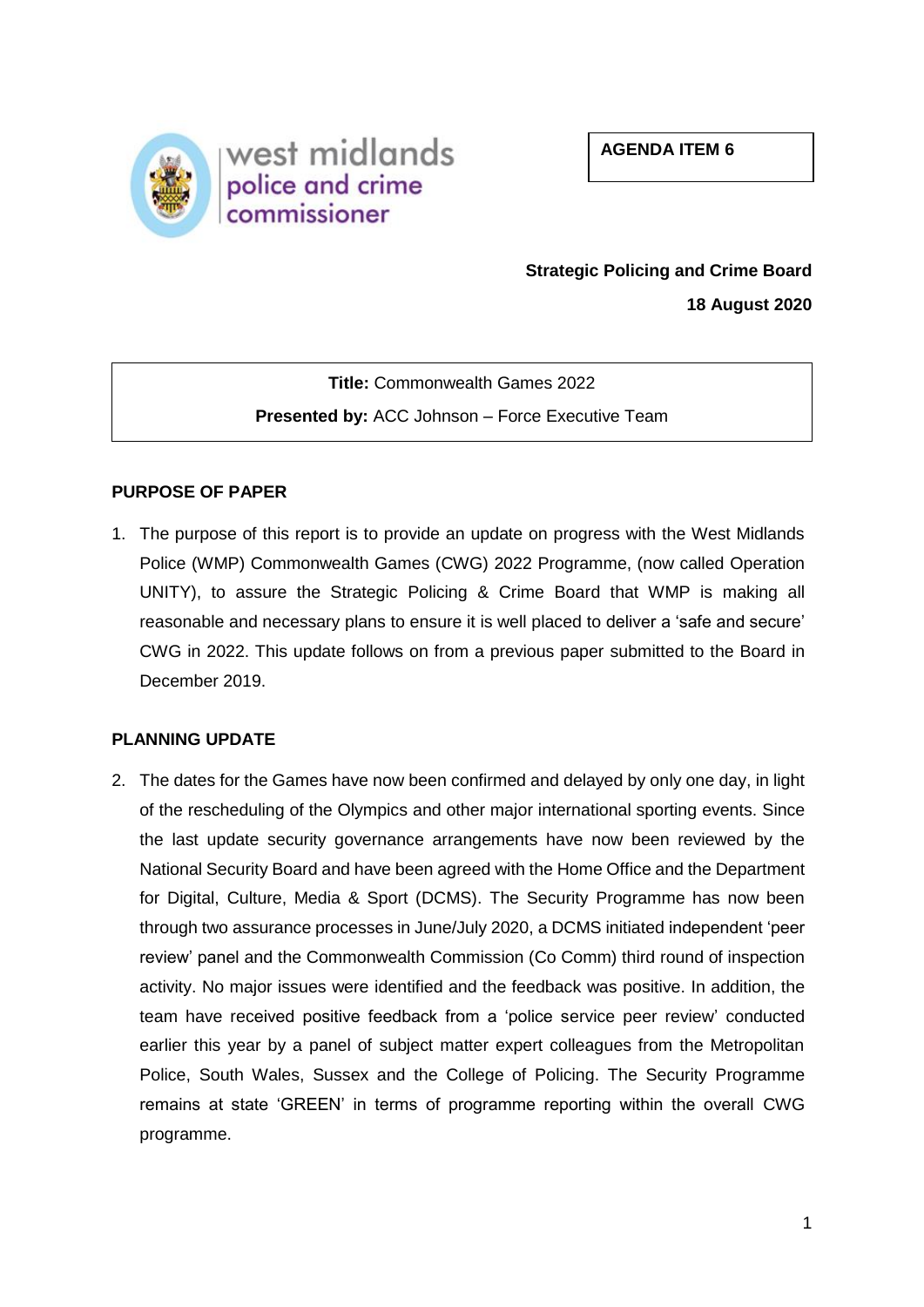**AGENDA ITEM 6**



# **Strategic Policing and Crime Board**

**18 August 2020**

**Title:** Commonwealth Games 2022 **Presented by:** ACC Johnson – Force Executive Team

## **PURPOSE OF PAPER**

1. The purpose of this report is to provide an update on progress with the West Midlands Police (WMP) Commonwealth Games (CWG) 2022 Programme, (now called Operation UNITY), to assure the Strategic Policing & Crime Board that WMP is making all reasonable and necessary plans to ensure it is well placed to deliver a 'safe and secure' CWG in 2022. This update follows on from a previous paper submitted to the Board in December 2019.

## **PLANNING UPDATE**

2. The dates for the Games have now been confirmed and delayed by only one day, in light of the rescheduling of the Olympics and other major international sporting events. Since the last update security governance arrangements have now been reviewed by the National Security Board and have been agreed with the Home Office and the Department for Digital, Culture, Media & Sport (DCMS). The Security Programme has now been through two assurance processes in June/July 2020, a DCMS initiated independent 'peer review' panel and the Commonwealth Commission (Co Comm) third round of inspection activity. No major issues were identified and the feedback was positive. In addition, the team have received positive feedback from a 'police service peer review' conducted earlier this year by a panel of subject matter expert colleagues from the Metropolitan Police, South Wales, Sussex and the College of Policing. The Security Programme remains at state 'GREEN' in terms of programme reporting within the overall CWG programme.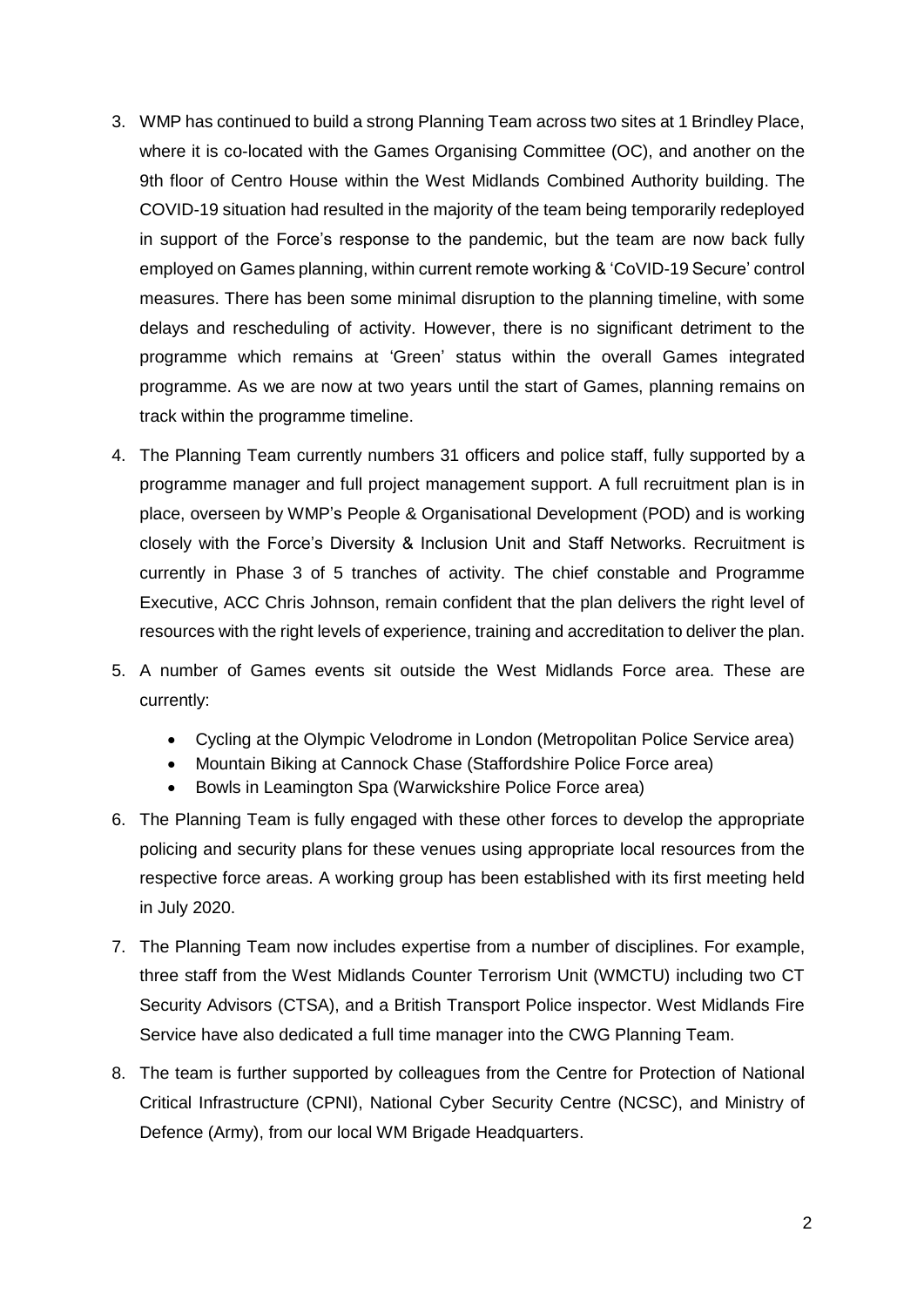- 3. WMP has continued to build a strong Planning Team across two sites at 1 Brindley Place, where it is co-located with the Games Organising Committee (OC), and another on the 9th floor of Centro House within the West Midlands Combined Authority building. The COVID-19 situation had resulted in the majority of the team being temporarily redeployed in support of the Force's response to the pandemic, but the team are now back fully employed on Games planning, within current remote working & 'CoVID-19 Secure' control measures. There has been some minimal disruption to the planning timeline, with some delays and rescheduling of activity. However, there is no significant detriment to the programme which remains at 'Green' status within the overall Games integrated programme. As we are now at two years until the start of Games, planning remains on track within the programme timeline.
- 4. The Planning Team currently numbers 31 officers and police staff, fully supported by a programme manager and full project management support. A full recruitment plan is in place, overseen by WMP's People & Organisational Development (POD) and is working closely with the Force's Diversity & Inclusion Unit and Staff Networks. Recruitment is currently in Phase 3 of 5 tranches of activity. The chief constable and Programme Executive, ACC Chris Johnson, remain confident that the plan delivers the right level of resources with the right levels of experience, training and accreditation to deliver the plan.
- 5. A number of Games events sit outside the West Midlands Force area. These are currently:
	- Cycling at the Olympic Velodrome in London (Metropolitan Police Service area)
	- Mountain Biking at Cannock Chase (Staffordshire Police Force area)
	- Bowls in Leamington Spa (Warwickshire Police Force area)
- 6. The Planning Team is fully engaged with these other forces to develop the appropriate policing and security plans for these venues using appropriate local resources from the respective force areas. A working group has been established with its first meeting held in July 2020.
- 7. The Planning Team now includes expertise from a number of disciplines. For example, three staff from the West Midlands Counter Terrorism Unit (WMCTU) including two CT Security Advisors (CTSA), and a British Transport Police inspector. West Midlands Fire Service have also dedicated a full time manager into the CWG Planning Team.
- 8. The team is further supported by colleagues from the Centre for Protection of National Critical Infrastructure (CPNI), National Cyber Security Centre (NCSC), and Ministry of Defence (Army), from our local WM Brigade Headquarters.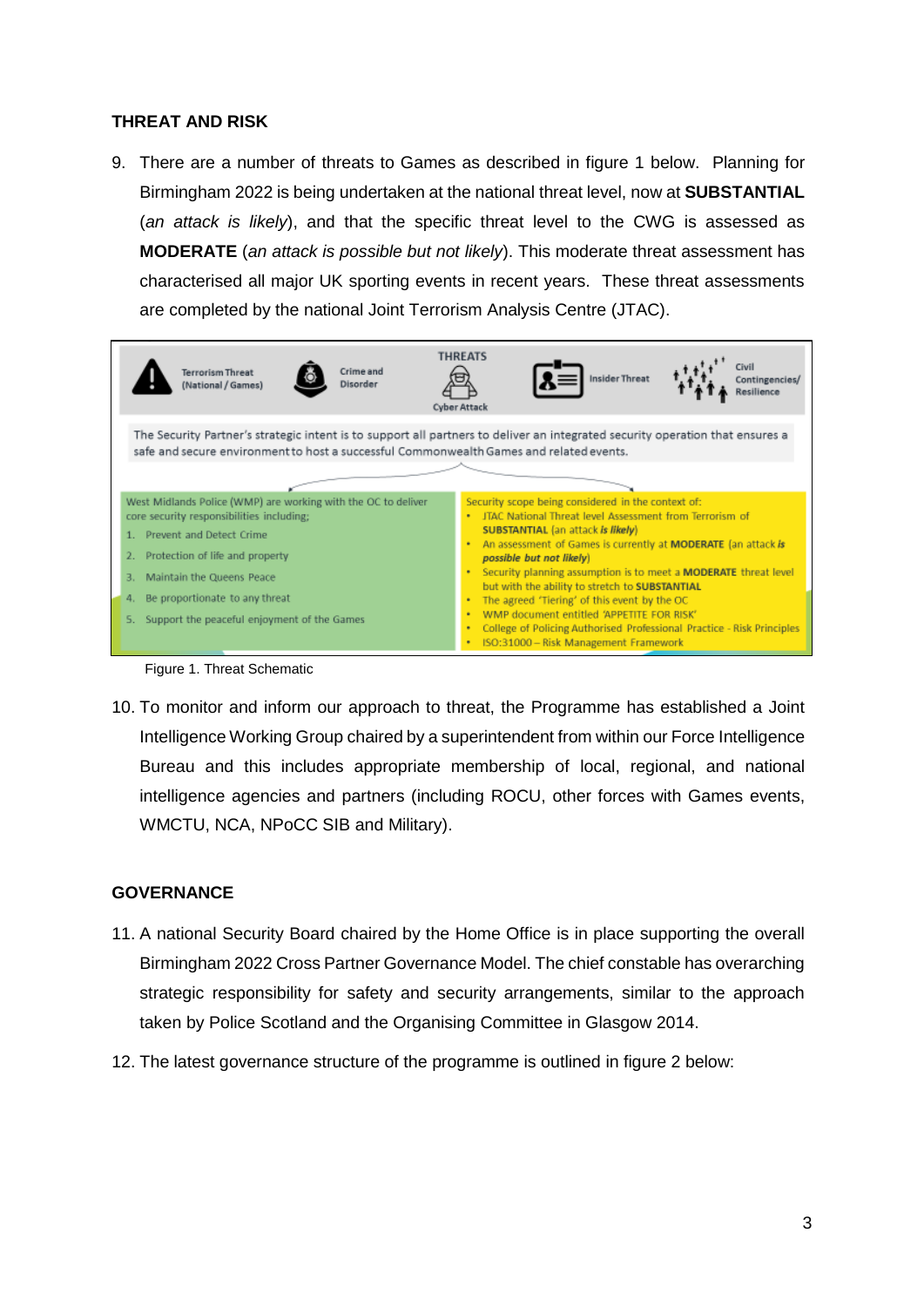### **THREAT AND RISK**

9. There are a number of threats to Games as described in figure 1 below. Planning for Birmingham 2022 is being undertaken at the national threat level, now at **SUBSTANTIAL** (*an attack is likely*), and that the specific threat level to the CWG is assessed as **MODERATE** (*an attack is possible but not likely*). This moderate threat assessment has characterised all major UK sporting events in recent years. These threat assessments are completed by the national Joint Terrorism Analysis Centre (JTAC).

|                                                                                                                                                                                                                                                                                                  |  | <b>Terrorism Threat</b><br>(National / Games) | Crime and<br>Disorder | <b>THREATS</b><br><b>Cyber Attack</b> |                                                                                                                                                                                                                                                                                                                                                                                                                                                                                                                                                                                                         |  | Insider Threat |  | Civil |
|--------------------------------------------------------------------------------------------------------------------------------------------------------------------------------------------------------------------------------------------------------------------------------------------------|--|-----------------------------------------------|-----------------------|---------------------------------------|---------------------------------------------------------------------------------------------------------------------------------------------------------------------------------------------------------------------------------------------------------------------------------------------------------------------------------------------------------------------------------------------------------------------------------------------------------------------------------------------------------------------------------------------------------------------------------------------------------|--|----------------|--|-------|
| The Security Partner's strategic intent is to support all partners to deliver an integrated security operation that ensures a<br>safe and secure environment to host a successful Commonwealth Games and related events.                                                                         |  |                                               |                       |                                       |                                                                                                                                                                                                                                                                                                                                                                                                                                                                                                                                                                                                         |  |                |  |       |
| West Midlands Police (WMP) are working with the OC to deliver<br>core security responsibilities including;<br>1. Prevent and Detect Crime<br>Protection of life and property<br>Maintain the Queens Peace<br>Be proportionate to any threat<br>4.<br>Support the peaceful enjoyment of the Games |  |                                               |                       |                                       | Security scope being considered in the context of:<br>JTAC National Threat level Assessment from Terrorism of<br><b>SUBSTANTIAL</b> (an attack is likely)<br>An assessment of Games is currently at MODERATE (an attack is<br>possible but not likely)<br>Security planning assumption is to meet a <b>MODERATE</b> threat level<br>but with the ability to stretch to SUBSTANTIAL<br>The agreed 'Tiering' of this event by the OC<br>WMP document entitled 'APPETITE FOR RISK'<br>College of Policing Authorised Professional Practice - Risk Principles<br>٠<br>ISO:31000 - Risk Management Framework |  |                |  |       |

Figure 1. Threat Schematic

10. To monitor and inform our approach to threat, the Programme has established a Joint Intelligence Working Group chaired by a superintendent from within our Force Intelligence Bureau and this includes appropriate membership of local, regional, and national intelligence agencies and partners (including ROCU, other forces with Games events, WMCTU, NCA, NPoCC SIB and Military).

## **GOVERNANCE**

- 11. A national Security Board chaired by the Home Office is in place supporting the overall Birmingham 2022 Cross Partner Governance Model. The chief constable has overarching strategic responsibility for safety and security arrangements, similar to the approach taken by Police Scotland and the Organising Committee in Glasgow 2014.
- 12. The latest governance structure of the programme is outlined in figure 2 below: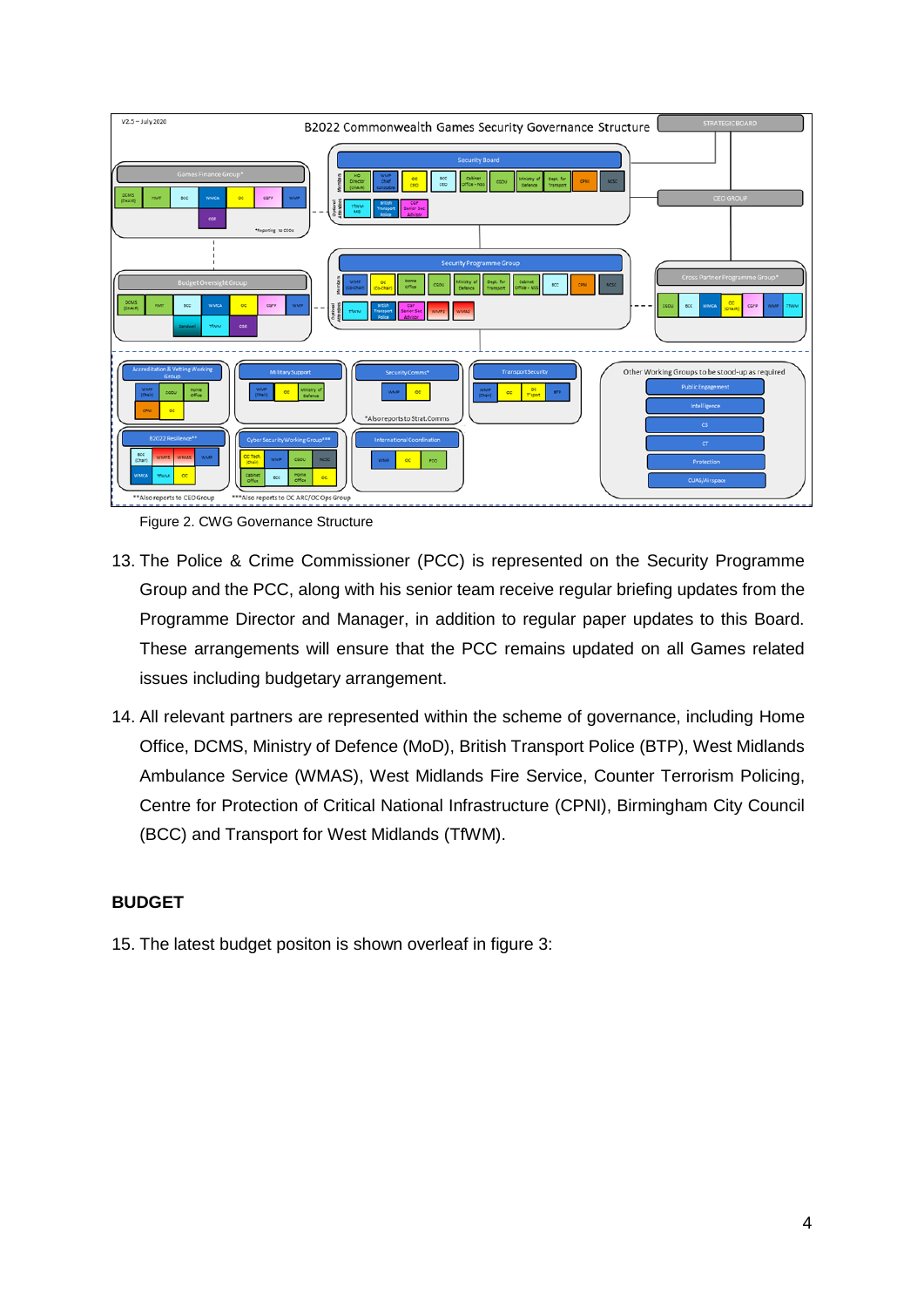

Figure 2. CWG Governance Structure

- 13. The Police & Crime Commissioner (PCC) is represented on the Security Programme Group and the PCC, along with his senior team receive regular briefing updates from the Programme Director and Manager, in addition to regular paper updates to this Board. These arrangements will ensure that the PCC remains updated on all Games related issues including budgetary arrangement.
- 14. All relevant partners are represented within the scheme of governance, including Home Office, DCMS, Ministry of Defence (MoD), British Transport Police (BTP), West Midlands Ambulance Service (WMAS), West Midlands Fire Service, Counter Terrorism Policing, Centre for Protection of Critical National Infrastructure (CPNI), Birmingham City Council (BCC) and Transport for West Midlands (TfWM).

#### **BUDGET**

15. The latest budget positon is shown overleaf in figure 3: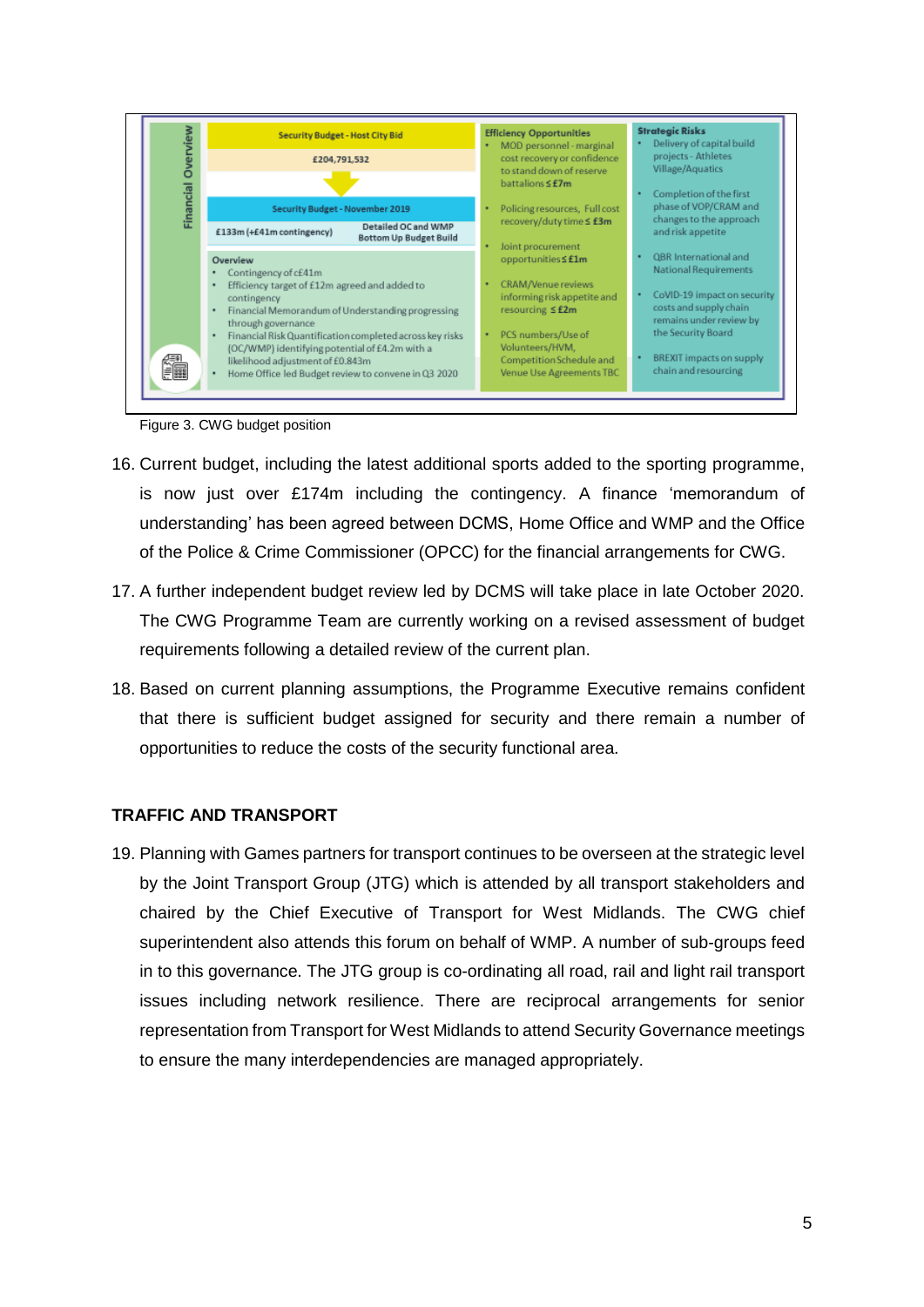

Figure 3. CWG budget position

- 16. Current budget, including the latest additional sports added to the sporting programme, is now just over £174m including the contingency. A finance 'memorandum of understanding' has been agreed between DCMS, Home Office and WMP and the Office of the Police & Crime Commissioner (OPCC) for the financial arrangements for CWG.
- 17. A further independent budget review led by DCMS will take place in late October 2020. The CWG Programme Team are currently working on a revised assessment of budget requirements following a detailed review of the current plan.
- 18. Based on current planning assumptions, the Programme Executive remains confident that there is sufficient budget assigned for security and there remain a number of opportunities to reduce the costs of the security functional area.

## **TRAFFIC AND TRANSPORT**

19. Planning with Games partners for transport continues to be overseen at the strategic level by the Joint Transport Group (JTG) which is attended by all transport stakeholders and chaired by the Chief Executive of Transport for West Midlands. The CWG chief superintendent also attends this forum on behalf of WMP. A number of sub-groups feed in to this governance. The JTG group is co-ordinating all road, rail and light rail transport issues including network resilience. There are reciprocal arrangements for senior representation from Transport for West Midlands to attend Security Governance meetings to ensure the many interdependencies are managed appropriately.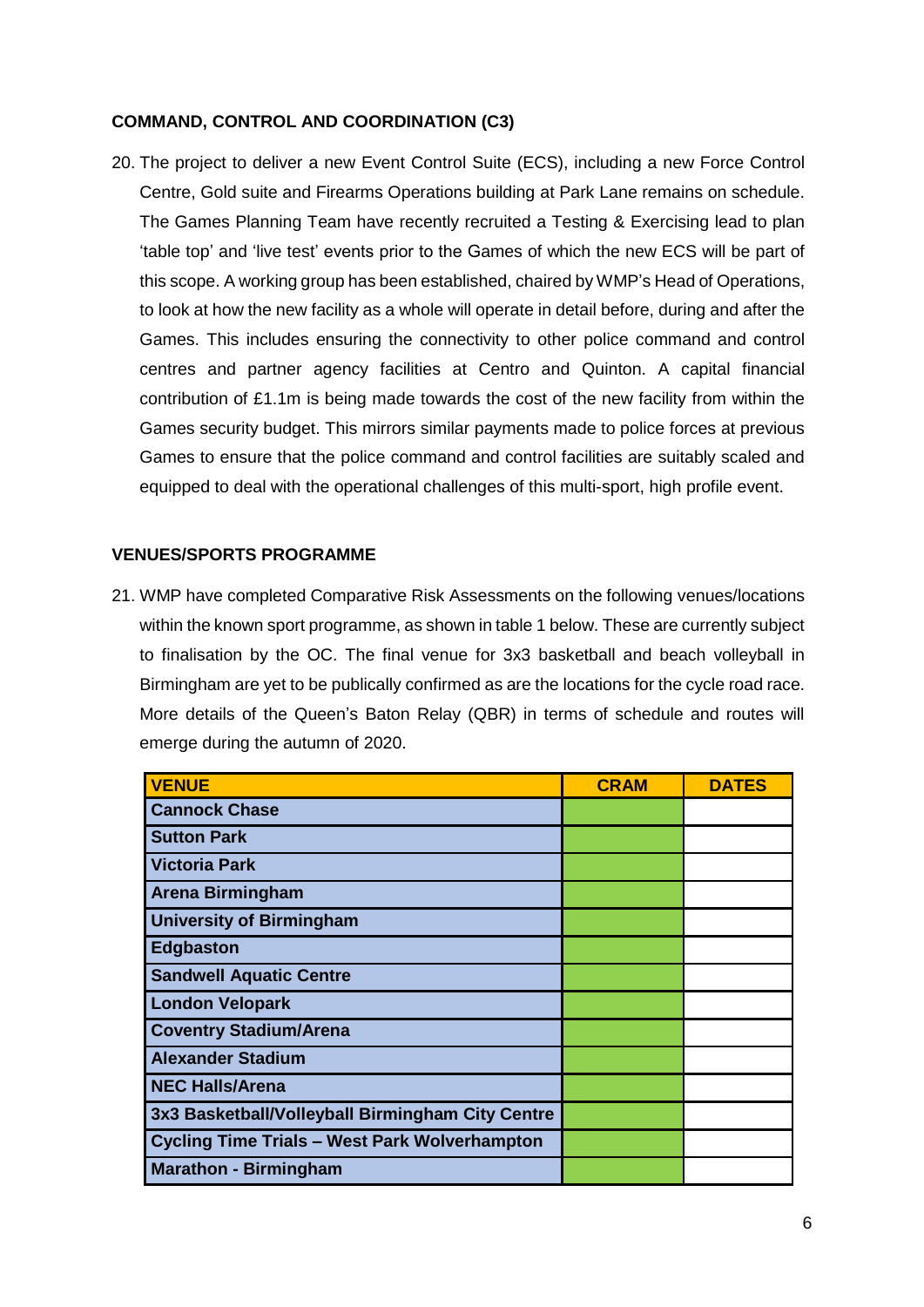#### **COMMAND, CONTROL AND COORDINATION (C3)**

20. The project to deliver a new Event Control Suite (ECS), including a new Force Control Centre, Gold suite and Firearms Operations building at Park Lane remains on schedule. The Games Planning Team have recently recruited a Testing & Exercising lead to plan 'table top' and 'live test' events prior to the Games of which the new ECS will be part of this scope. A working group has been established, chaired by WMP's Head of Operations, to look at how the new facility as a whole will operate in detail before, during and after the Games. This includes ensuring the connectivity to other police command and control centres and partner agency facilities at Centro and Quinton. A capital financial contribution of £1.1m is being made towards the cost of the new facility from within the Games security budget. This mirrors similar payments made to police forces at previous Games to ensure that the police command and control facilities are suitably scaled and equipped to deal with the operational challenges of this multi-sport, high profile event.

#### **VENUES/SPORTS PROGRAMME**

21. WMP have completed Comparative Risk Assessments on the following venues/locations within the known sport programme, as shown in table 1 below. These are currently subject to finalisation by the OC. The final venue for 3x3 basketball and beach volleyball in Birmingham are yet to be publically confirmed as are the locations for the cycle road race. More details of the Queen's Baton Relay (QBR) in terms of schedule and routes will emerge during the autumn of 2020.

| <b>VENUE</b>                                         | <b>CRAM</b> | <b>DATES</b> |
|------------------------------------------------------|-------------|--------------|
| <b>Cannock Chase</b>                                 |             |              |
| <b>Sutton Park</b>                                   |             |              |
| <b>Victoria Park</b>                                 |             |              |
| <b>Arena Birmingham</b>                              |             |              |
| <b>University of Birmingham</b>                      |             |              |
| <b>Edgbaston</b>                                     |             |              |
| <b>Sandwell Aquatic Centre</b>                       |             |              |
| <b>London Velopark</b>                               |             |              |
| <b>Coventry Stadium/Arena</b>                        |             |              |
| <b>Alexander Stadium</b>                             |             |              |
| <b>NEC Halls/Arena</b>                               |             |              |
| 3x3 Basketball/Volleyball Birmingham City Centre     |             |              |
| <b>Cycling Time Trials - West Park Wolverhampton</b> |             |              |
| <b>Marathon - Birmingham</b>                         |             |              |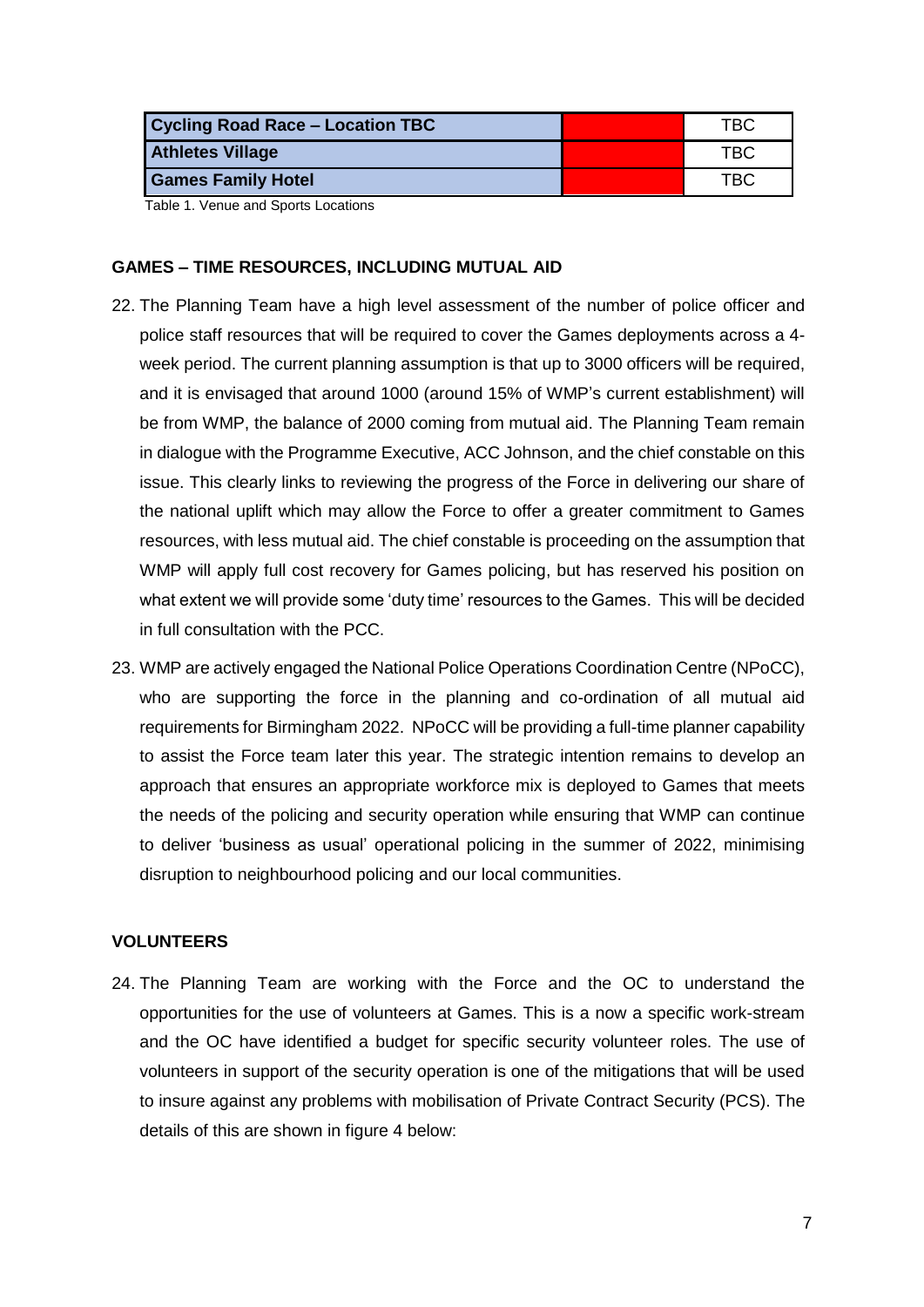| Cycling Road Race - Location TBC | TBC. |
|----------------------------------|------|
| <b>Athletes Village</b>          | TBC  |
| <b>Games Family Hotel</b>        | TBC  |

Table 1. Venue and Sports Locations

#### **GAMES – TIME RESOURCES, INCLUDING MUTUAL AID**

- 22. The Planning Team have a high level assessment of the number of police officer and police staff resources that will be required to cover the Games deployments across a 4 week period. The current planning assumption is that up to 3000 officers will be required, and it is envisaged that around 1000 (around 15% of WMP's current establishment) will be from WMP, the balance of 2000 coming from mutual aid. The Planning Team remain in dialogue with the Programme Executive, ACC Johnson, and the chief constable on this issue. This clearly links to reviewing the progress of the Force in delivering our share of the national uplift which may allow the Force to offer a greater commitment to Games resources, with less mutual aid. The chief constable is proceeding on the assumption that WMP will apply full cost recovery for Games policing, but has reserved his position on what extent we will provide some 'duty time' resources to the Games. This will be decided in full consultation with the PCC.
- 23. WMP are actively engaged the National Police Operations Coordination Centre (NPoCC), who are supporting the force in the planning and co-ordination of all mutual aid requirements for Birmingham 2022. NPoCC will be providing a full-time planner capability to assist the Force team later this year. The strategic intention remains to develop an approach that ensures an appropriate workforce mix is deployed to Games that meets the needs of the policing and security operation while ensuring that WMP can continue to deliver 'business as usual' operational policing in the summer of 2022, minimising disruption to neighbourhood policing and our local communities.

#### **VOLUNTEERS**

24. The Planning Team are working with the Force and the OC to understand the opportunities for the use of volunteers at Games. This is a now a specific work-stream and the OC have identified a budget for specific security volunteer roles. The use of volunteers in support of the security operation is one of the mitigations that will be used to insure against any problems with mobilisation of Private Contract Security (PCS). The details of this are shown in figure 4 below: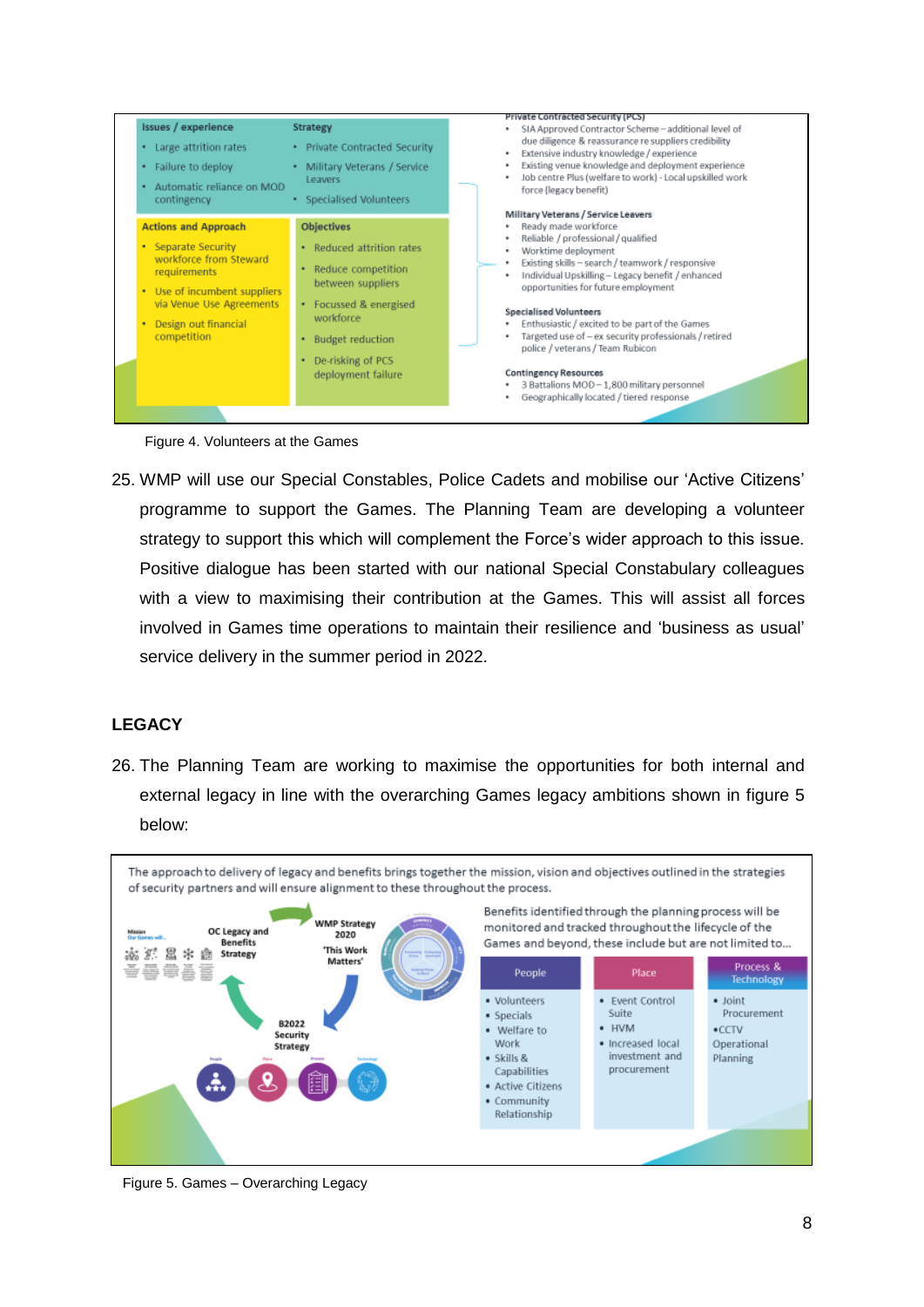

Figure 4. Volunteers at the Games

25. WMP will use our Special Constables, Police Cadets and mobilise our 'Active Citizens' programme to support the Games. The Planning Team are developing a volunteer strategy to support this which will complement the Force's wider approach to this issue. Positive dialogue has been started with our national Special Constabulary colleagues with a view to maximising their contribution at the Games. This will assist all forces involved in Games time operations to maintain their resilience and 'business as usual' service delivery in the summer period in 2022.

## **LEGACY**

26. The Planning Team are working to maximise the opportunities for both internal and external legacy in line with the overarching Games legacy ambitions shown in figure 5 below:



Figure 5. Games – Overarching Legacy